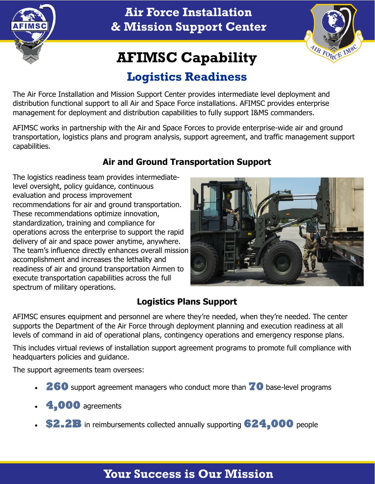

**Air Force Installation & Mission Support Center**



# **AFIMSC Capability**

## **Logistics Readiness**

The Air Force Installation and Mission Support Center provides intermediate level deployment and distribution functional support to all Air and Space Force installations. AFIMSC provides enterprise management for deployment and distribution capabilities to fully support I&MS commanders.

AFIMSC works in partnership with the Air and Space Forces to provide enterprise-wide air and ground transportation, logistics plans and program analysis, support agreement, and traffic management support capabilities.

### **Air and Ground Transportation Support**

The logistics readiness team provides intermediatelevel oversight, policy guidance, continuous evaluation and process improvement recommendations for air and ground transportation. These recommendations optimize innovation, standardization, training and compliance for operations across the enterprise to support the rapid delivery of air and space power anytime, anywhere. The team's influence directly enhances overall mission accomplishment and increases the lethality and readiness of air and ground transportation Airmen to execute transportation capabilities across the full spectrum of military operations.



### **Logistics Plans Support**

AFIMSC ensures equipment and personnel are where they're needed, when they're needed. The center supports the Department of the Air Force through deployment planning and execution readiness at all levels of command in aid of operational plans, contingency operations and emergency response plans.

This includes virtual reviews of installation support agreement programs to promote full compliance with headquarters policies and guidance.

The support agreements team oversees:

- **260** support agreement managers who conduct more than **70** base-level programs
- **4,000** agreements
- **\$2.2B** in reimbursements collected annually supporting **624,000** people

### **Your Success is Our Mission**